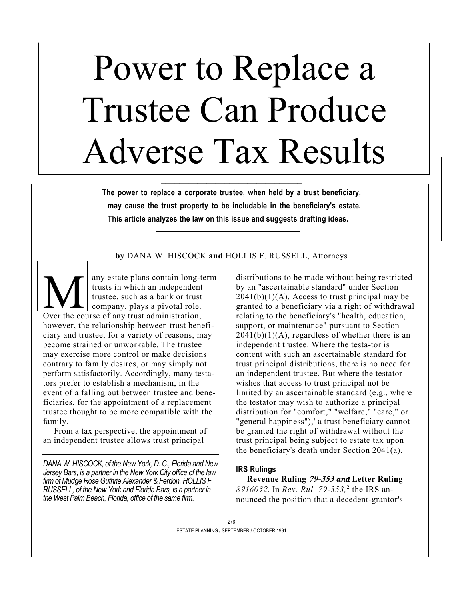# Power to Replace a Trustee Can Produce Adverse Tax Results

**The power to replace a corporate trustee, when held by a trust beneficiary, may cause the trust property to be includable in the beneficiary's estate. This article analyzes the law on this issue and suggests drafting ideas.** 

**\_\_\_\_\_\_\_\_\_\_\_\_\_\_\_\_\_\_\_\_\_\_\_\_\_\_\_\_\_\_\_** 

**by** DANA W. HISCOCK **and** HOLLIS F. RUSSELL, Attorneys

any estate plans contain long-term trusts in which an independent trustee, such as a bank or trust company, plays a pivotal role. any estate plans contain long-to<br>trusts in which an independent<br>trustee, such as a bank or trust<br>Cover the course of any trust administration, however, the relationship between trust beneficiary and trustee, for a variety of reasons, may become strained or unworkable. The trustee may exercise more control or make decisions contrary to family desires, or may simply not perform satisfactorily. Accordingly, many testators prefer to establish a mechanism, in the event of a falling out between trustee and beneficiaries, for the appointment of a replacement trustee thought to be more compatible with the family.

From a tax perspective, the appointment of an independent trustee allows trust principal

*DANA W. HISCOCK, of the New York, D. C., Florida and New Jersey Bars, is a partner in the New York City office of the law firm of Mudge Rose Guthrie Alexander & Ferdon. HOLLIS F. RUSSELL, of the New York and Florida Bars, is a partner in the West Palm Beach, Florida, office of the same firm.* 

distributions to be made without being restricted by an "ascertainable standard" under Section  $2041(b)(1)(A)$ . Access to trust principal may be granted to a beneficiary via a right of withdrawal relating to the beneficiary's "health, education, support, or maintenance" pursuant to Section  $2041(b)(1)(A)$ , regardless of whether there is an independent trustee. Where the testa-tor is content with such an ascertainable standard for trust principal distributions, there is no need for an independent trustee. But where the testator wishes that access to trust principal not be limited by an ascertainable standard (e.g., where the testator may wish to authorize a principal distribution for "comfort," "welfare," "care," or "general happiness"),' a trust beneficiary cannot be granted the right of withdrawal without the trust principal being subject to estate tax upon the beneficiary's death under Section 2041(a).

## **IRS Rulings**

**Revenue Ruling 79-353** *and* **Letter Ruling**  *8916032.* In *Rev. Rul. 79-353,*<sup>2</sup> the IRS announced the position that a decedent-grantor's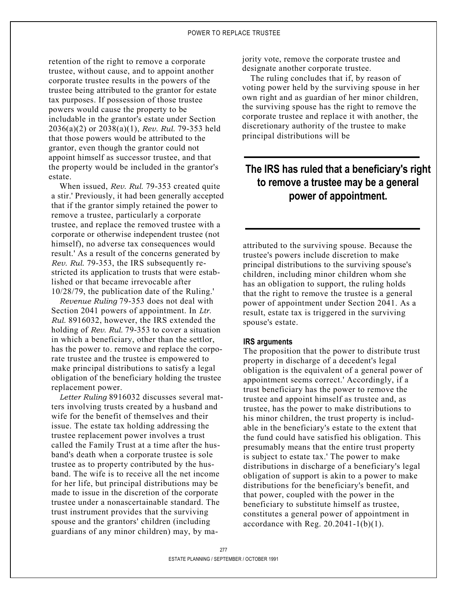retention of the right to remove a corporate trustee, without cause, and to appoint another corporate trustee results in the powers of the trustee being attributed to the grantor for estate tax purposes. If possession of those trustee powers would cause the property to be includable in the grantor's estate under Section 2036(a)(2) or 2038(a)(1), *Rev. Rul.* 79-353 held that those powers would be attributed to the grantor, even though the grantor could not appoint himself as successor trustee, and that the property would be included in the grantor's estate.

When issued, *Rev. Rul.* 79-353 created quite a stir.' Previously, it had been generally accepted that if the grantor simply retained the power to remove a trustee, particularly a corporate trustee, and replace the removed trustee with a corporate or otherwise independent trustee (not himself), no adverse tax consequences would result.' As a result of the concerns generated by *Rev. Rul.* 79-353, the IRS subsequently restricted its application to trusts that were established or that became irrevocable after 10/28/79, the publication date of the Ruling.'

*Revenue Ruling* 79-353 does not deal with Section 2041 powers of appointment. In *Ltr. Rul.* 8916032, however, the IRS extended the holding of *Rev. Rul.* 79-353 to cover a situation in which a beneficiary, other than the settlor, has the power to. remove and replace the corporate trustee and the trustee is empowered to make principal distributions to satisfy a legal obligation of the beneficiary holding the trustee replacement power.

*Letter Ruling* 8916032 discusses several matters involving trusts created by a husband and wife for the benefit of themselves and their issue. The estate tax holding addressing the trustee replacement power involves a trust called the Family Trust at a time after the husband's death when a corporate trustee is sole trustee as to property contributed by the husband. The wife is to receive all the net income for her life, but principal distributions may be made to issue in the discretion of the corporate trustee under a nonascertainable standard. The trust instrument provides that the surviving spouse and the grantors' children (including guardians of any minor children) may, by majority vote, remove the corporate trustee and designate another corporate trustee.

The ruling concludes that if, by reason of voting power held by the surviving spouse in her own right and as guardian of her minor children, the surviving spouse has the right to remove the corporate trustee and replace it with another, the discretionary authority of the trustee to make principal distributions will be

## **The IRS has ruled that a beneficiary's right to remove a trustee may be a general power of appointment.**

attributed to the surviving spouse. Because the trustee's powers include discretion to make principal distributions to the surviving spouse's children, including minor children whom she has an obligation to support, the ruling holds that the right to remove the trustee is a general power of appointment under Section 2041. As a result, estate tax is triggered in the surviving spouse's estate.

### **IRS arguments**

The proposition that the power to distribute trust property in discharge of a decedent's legal obligation is the equivalent of a general power of appointment seems correct.' Accordingly, if a trust beneficiary has the power to remove the trustee and appoint himself as trustee and, as trustee, has the power to make distributions to his minor children, the trust property is includable in the beneficiary's estate to the extent that the fund could have satisfied his obligation. This presumably means that the entire trust property is subject to estate tax.' The power to make distributions in discharge of a beneficiary's legal obligation of support is akin to a power to make distributions for the beneficiary's benefit, and that power, coupled with the power in the beneficiary to substitute himself as trustee, constitutes a general power of appointment in accordance with Reg.  $20.2041 - 1(b)(1)$ .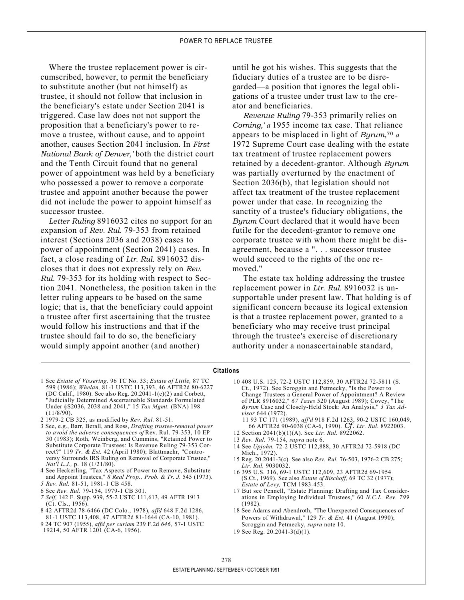Where the trustee replacement power is circumscribed, however, to permit the beneficiary to substitute another (but not himself) as trustee, it should not follow that inclusion in the beneficiary's estate under Section 2041 is triggered. Case law does not not support the proposition that a beneficiary's power to remove a trustee, without cause, and to appoint another, causes Section 2041 inclusion. In *First National Bank of Denver,'* both the district court and the Tenth Circuit found that no general power of appointment was held by a beneficiary who possessed a power to remove a corporate trustee and appoint another because the power did not include the power to appoint himself as successor trustee.

*Letter Ruling* 8916032 cites no support for an expansion of *Rev. Rul.* 79-353 from retained interest (Sections 2036 and 2038) cases to power of appointment (Section 2041) cases. In fact, a close reading of *Ltr. Rul.* 8916032 discloses that it does not expressly rely on *Rev. Rul.* 79-353 for its holding with respect to Section 2041. Nonetheless, the position taken in the letter ruling appears to be based on the same logic; that is, that the beneficiary could appoint a trustee after first ascertaining that the trustee would follow his instructions and that if the trustee should fail to do so, the beneficiary would simply appoint another (and another)

until he got his wishes. This suggests that the fiduciary duties of a trustee are to be disregarded—a position that ignores the legal obligations of a trustee under trust law to the creator and beneficiaries.

*Revenue Ruling* 79-353 primarily relies on *Corning,' a* 1955 income tax case. That reliance appears to be misplaced in light of *Byrum,*<sup>70</sup> *a*  1972 Supreme Court case dealing with the estate tax treatment of trustee replacement powers retained by a decedent-grantor. Although *Byrum*  was partially overturned by the enactment of Section 2036(b), that legislation should not affect tax treatment of the trustee replacement power under that case. In recognizing the sanctity of a trustee's fiduciary obligations, the *Byrum* Court declared that it would have been futile for the decedent-grantor to remove one corporate trustee with whom there might be disagreement, because a ". . . successor trustee would succeed to the rights of the one removed."

The estate tax holding addressing the trustee replacement power in *Ltr. Rul.* 8916032 is unsupportable under present law. That holding is of significant concern because its logical extension is that a trustee replacement power, granted to a beneficiary who may receive trust principal through the trustee's exercise of discretionary authority under a nonascertainable standard,

#### **Citations**

- 1 See *Estate of Vissering,* 96 TC No. 33; *Estate of Little,* 87 TC 599 (1986); *Whelan,* 81-1 USTC 113,393, 46 AFTR2d 80-6227 (DC Calif., 1980). See also Reg. 20.2041-1(c)(2) and Corbett, "Judicially Determined Ascertainable Standards Formulated Under §S2036, 2038 and 2041," 15 *Tax Mgmt.* (BNA) 198  $(11/8/90)$
- 2 1979-2 CB 325, as modified by *Rev. Rul.* 81-51.
- 3 See, e.g., Barr, Berall, and Ross, *Drafting trustee-removal power to avoid the adverse consequences of* Rev. Rul. 79-353, 10 EP 30 (1983); Roth, Weinberg, and Cummins, "Retained Power to Substitute Corporate Trustees: Is Revenue Ruling 79-353 Correct?" 119 *Tr. & Est.* 42 (April 1980); Blattmachr, "Controversy Surrounds IRS Ruling on Removal of Corporate Trustee," *Nat'l L.J.,* p. 18 (1/21/80).
- 4 See Heckerling, "Tax Aspects of Power to Remove, Substitute and Appoint Trustees," *8 Real Prop., Prob. & Tr. J.* 545 (1973).
- *5 Rev. Rul.* 81-51, 1981-1 CB 458.
- 6 See *Rev. Rul.* 79-154, 1979-1 CB 301.
- *7 Self,* 142 F. Supp. 939, 55-2 USTC 111,613, 49 AFTR 1913 (Ct. Cls., 1956).
- 8 42 AFTR2d 78-6466 (DC Colo., 1978), *affd* 648 F.2d 1286, 81-1 USTC 113,408, 47 AFTR2d 81-1644 (CA-10, 1981).
- 9 24 TC 907 (1955), *affd per curiam* 239 F.2d *646,* 57-1 USTC 19214, 50 AFTR 1201 (CA-6, 1956).
- 10 408 U.S. 125, 72-2 USTC 112,859, 30 AFTR2d 72-5811 (S. Ct., 1972). See Scroggin and Petmecky, "Is the Power to Change Trustees a General Power of Appointment? A Review of PLR 8916032," *67 Taxes* 520 (August 1989); Covey, "The *Byrum* Case and Closely-Held Stock: An Analysis," *3 Tax Advisor* 644 (1972).
	- 11 93 TC 171 (1989), *aff'd* 918 F.2d 1263, 90-2 USTC 160,049, 66 AFTR2d 90-6038 (CA-6, 1990). *Cf. Ltr. Rul.* 8922003.
- 12 Section 2041(b)(1)(A). See *Ltr. Rul.* 8922062.
- 13 *Rev. Rul.* 79-154, *supra* note 6.
- 14 See *Upjohn,* 72-2 USTC 112,888, 30 AFTR2d 72-5918 (DC Mich., 1972).
- 15 Reg. 20.2041-3(c). See also *Rev. Rul.* 76-503, 1976-2 CB 275; *Ltr. Rul.* 9030032.
- 16 395 U.S. 316, 69-1 USTC 112,609, 23 AFTR2d 69-1954 (S.Ct., 1969). See also *Estate of Bischoff,* 69 TC 32 (1977); *Estate of Levy,* TCM 1983-453.
- 17 But see Pennell, "Estate Planning: Drafting and Tax Considerations in Employing Individual Trustees," 60 *N.C.L. Rev. 799*  (1982).
- 18 See Adams and Abendroth, "The Unexpected Consequences of Powers of Withdrawal," 129 *Tr. & Est.* 41 (August 1990); Scroggin and Petmecky, *supra* note 10.
- 19 See Reg. 20.2041-3(d)(1).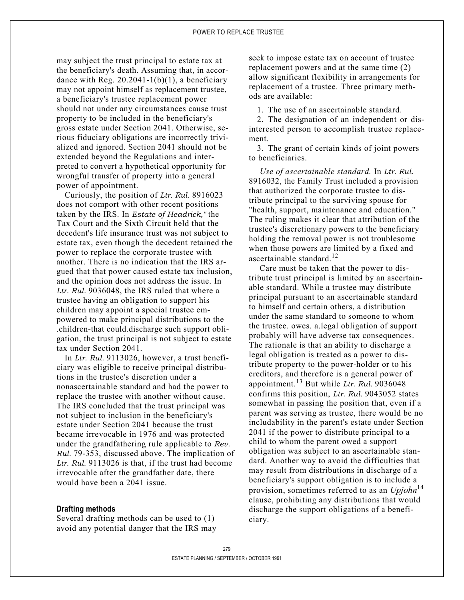may subject the trust principal to estate tax at the beneficiary's death. Assuming that, in accordance with Reg.  $20.2041 - 1(b)(1)$ , a beneficiary may not appoint himself as replacement trustee, a beneficiary's trustee replacement power should not under any circumstances cause trust property to be included in the beneficiary's gross estate under Section 2041. Otherwise, serious fiduciary obligations are incorrectly trivialized and ignored. Section 2041 should not be extended beyond the Regulations and interpreted to convert a hypothetical opportunity for wrongful transfer of property into a general power of appointment.

Curiously, the position of *Ltr. Rul.* 8916023 does not comport with other recent positions taken by the IRS. In *Estate of Headrick,"* the Tax Court and the Sixth Circuit held that the decedent's life insurance trust was not subject to estate tax, even though the decedent retained the power to replace the corporate trustee with another. There is no indication that the IRS argued that that power caused estate tax inclusion, and the opinion does not address the issue. In Ltr. Rul. 9036048, the IRS ruled that where a trustee having an obligation to support his children may appoint a special trustee empowered to make principal distributions to the .children-that could.discharge such support obligation, the trust principal is not subject to estate tax under Section 2041.

In *Ltr. Rul.* 9113026, however, a trust beneficiary was eligible to receive principal distributions in the trustee's discretion under a nonascertainable standard and had the power to replace the trustee with another without cause. The IRS concluded that the trust principal was not subject to inclusion in the beneficiary's estate under Section 2041 because the trust became irrevocable in 1976 and was protected under the grandfathering rule applicable to *Rev. Rul.* 79-353, discussed above. The implication of Ltr. Rul. 9113026 is that, if the trust had become irrevocable after the grandfather date, there would have been a 2041 issue.

#### **Drafting methods**

Several drafting methods can be used to (1) avoid any potential danger that the IRS may

seek to impose estate tax on account of trustee replacement powers and at the same time (2) allow significant flexibility in arrangements for replacement of a trustee. Three primary methods are available:

1. The use of an ascertainable standard.

2. The designation of an independent or disinterested person to accomplish trustee replacement.

3. The grant of certain kinds of joint powers to beneficiaries.

*Use of ascertainable standard.* In *Ltr. Rul.*  8916032, the Family Trust included a provision that authorized the corporate trustee to distribute principal to the surviving spouse for "health, support, maintenance and education." The ruling makes it clear that attribution of the trustee's discretionary powers to the beneficiary holding the removal power is not troublesome when those powers are limited by a fixed and ascertainable standard  $^{12}$ 

Care must be taken that the power to distribute trust principal is limited by an ascertainable standard. While a trustee may distribute principal pursuant to an ascertainable standard to himself and certain others, a distribution under the same standard to someone to whom the trustee. owes. a.legal obligation of support probably will have adverse tax consequences. The rationale is that an ability to discharge a legal obligation is treated as a power to distribute property to the power-holder or to his creditors, and therefore is a general power of appointment.13 But while *Ltr. Rul.* 9036048 confirms this position, *Ltr. Rul.* 9043052 states somewhat in passing the position that, even if a parent was serving as trustee, there would be no includability in the parent's estate under Section 2041 if the power to distribute principal to a child to whom the parent owed a support obligation was subject to an ascertainable standard. Another way to avoid the difficulties that may result from distributions in discharge of a beneficiary's support obligation is to include a provision, sometimes referred to as an *Upjohn*<sup>14</sup> clause, prohibiting any distributions that would discharge the support obligations of a beneficiary.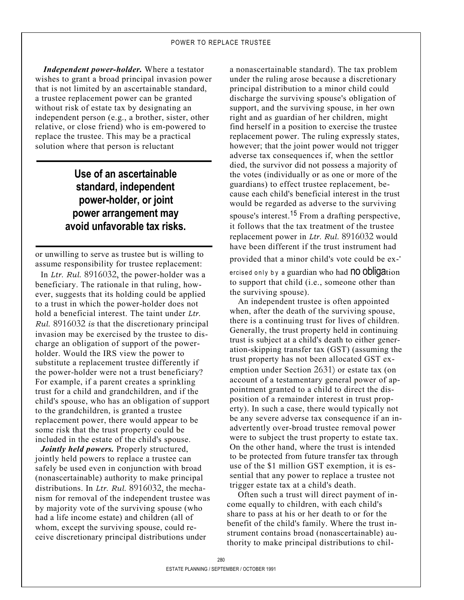*Independent power-holder.* Where a testator wishes to grant a broad principal invasion power that is not limited by an ascertainable standard, a trustee replacement power can be granted without risk of estate tax by designating an independent person (e.g., a brother, sister, other relative, or close friend) who is em-powered to replace the trustee. This may be a practical solution where that person is reluctant

# **Use of an ascertainable standard, independent power-holder, or joint power arrangement may avoid unfavorable tax risks.**

or unwilling to serve as trustee but is willing to assume responsibility for trustee replacement:

In *Ltr. Rul.* 8916032, the power-holder was a beneficiary. The rationale in that ruling, however, suggests that its holding could be applied to a trust in which the power-holder does not hold a beneficial interest. The taint under *Ltr. Rul.* 8916032 *is* that the discretionary principal invasion may be exercised by the trustee to discharge an obligation of support of the powerholder. Would the IRS view the power to substitute a replacement trustee differently if the power-holder were not a trust beneficiary? For example, if a parent creates a sprinkling trust for a child and grandchildren, and if the child's spouse, who has an obligation of support to the grandchildren, is granted a trustee replacement power, there would appear to be some risk that the trust property could be included in the estate of the child's spouse.

*Jointly held powers.* Properly structured, jointly held powers to replace a trustee can safely be used even in conjunction with broad (nonascertainable) authority to make principal distributions. In *Ltr. Rul.* 8916032, the mechanism for removal of the independent trustee was by majority vote of the surviving spouse (who had a life income estate) and children (all of whom, except the surviving spouse, could receive discretionary principal distributions under

a nonascertainable standard). The tax problem under the ruling arose because a discretionary principal distribution to a minor child could discharge the surviving spouse's obligation of support, and the surviving spouse, in her own right and as guardian of her children, might find herself in a position to exercise the trustee replacement power. The ruling expressly states, however; that the joint power would not trigger adverse tax consequences if, when the settlor died, the survivor did not possess a majority of the votes (individually or as one or more of the guardians) to effect trustee replacement, because each child's beneficial interest in the trust would be regarded as adverse to the surviving spouse's interest.<sup>15</sup> From a drafting perspective, it follows that the tax treatment of the trustee replacement power in *Ltr. Rul.* 8916032 would have been different if the trust instrument had provided that a minor child's vote could be ex- ercised only by a guardian who had **no obligation** to support that child (i.e., someone other than the surviving spouse).

An independent trustee is often appointed when, after the death of the surviving spouse, there is a continuing trust for lives of children. Generally, the trust property held in continuing trust is subject at a child's death to either generation-skipping transfer tax (GST) (assuming the trust property has not been allocated GST exemption under Section 2631) or estate tax (on account of a testamentary general power of appointment granted to a child to direct the disposition of a remainder interest in trust property). In such a case, there would typically not be any severe adverse tax consequence if an inadvertently over-broad trustee removal power were to subject the trust property to estate tax. On the other hand, where the trust is intended to be protected from future transfer tax through use of the \$1 million GST exemption, it is essential that any power to replace a trustee not trigger estate tax at a child's death.

Often such a trust will direct payment of income equally to children, with each child's share to pass at his or her death to or for the benefit of the child's family. Where the trust instrument contains broad (nonascertainable) authority to make principal distributions to chil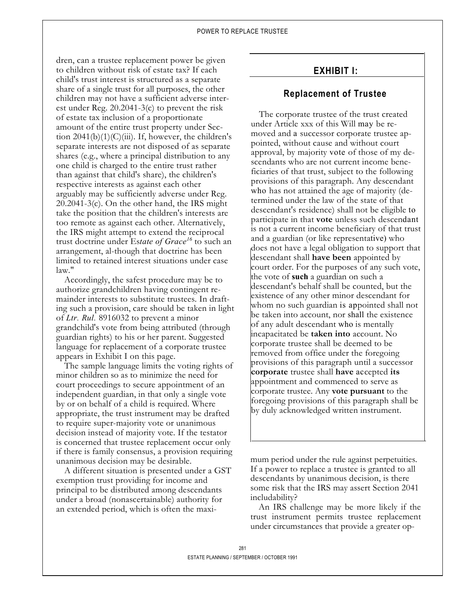dren, can a trustee replacement power be given to children without risk of estate tax? If each child's trust interest is structured as a separate share of a single trust for all purposes, the other children may not have a sufficient adverse interest under Reg. 20.2041-3(c) to prevent the risk of estate tax inclusion of a proportionate amount of the entire trust property under Section  $2041(b)(1)(C)(iii)$ . If, however, the children's separate interests are not disposed of as separate shares (e.g., where a principal distribution to any one child is charged to the entire trust rather than against that child's share), the children's respective interests as against each other arguably may be sufficiently adverse under Reg. 20.2041-3(c). On the other hand, the IRS might take the position that the children's interests are too remote as against each other. Alternatively, the IRS might attempt to extend the reciprocal trust doctrine under Es*tate of Grace<sup>16</sup>* to such an arrangement, al-though that doctrine has been limited to retained interest situations under case law."

Accordingly, the safest procedure may be to authorize grandchildren having contingent remainder interests to substitute trustees. In drafting such a provision, care should be taken in light of *Ltr. Rul.* 8916032 to prevent a minor grandchild's vote from being attributed (through guardian rights) to his or her parent. Suggested language for replacement of a corporate trustee appears in Exhibit I on this page.

The sample language limits the voting rights of minor children so as to minimize the need for court proceedings to secure appointment of an independent guardian, in that only a single vote by or on behalf of a child is required. Where appropriate, the trust instrument may be drafted to require super-majority vote or unanimous decision instead of majority vote. If the testator is concerned that trustee replacement occur only if there is family consensus, a provision requiring unanimous decision may be desirable.

A different situation is presented under a GST exemption trust providing for income and principal to be distributed among descendants under a broad (nonascertainable) authority for an extended period, which is often the maxi-

## **EXHIBIT I:**

## **Replacement of Trustee**

The corporate trustee of the trust created under Article xxx of this Will may be removed and a successor corporate trustee appointed, without cause and without court approval, by majority vote of those of my descendants who are not current income beneficiaries of that trust, subject to the following provisions of this paragraph. Any descendant who has not attained the age of majority (determined under the law of the state of that descendant's residence) shall not be eligible to participate in that **vote** unless such descendant is not a current income beneficiary of that trust and a guardian (or like representative) who does not have a legal obligation to support that descendant shall **have been** appointed by court order. For the purposes of any such vote, the vote of **such** a guardian on such a descendant's behalf shall be counted, but the existence of any other minor descendant for whom no such guardian is appointed shall not be taken into account, nor shall the existence of any adult descendant who is mentally incapacitated be **taken into** account. No corporate trustee shall be deemed to be removed from office under the foregoing provisions of this paragraph until a successor **corporate** trustee shall **have** accepted **its**  appointment and commenced to serve as corporate trustee. Any **vote pursuant** to the foregoing provisions of this paragraph shall be by duly acknowledged written instrument.

mum period under the rule against perpetuities. If a power to replace a trustee is granted to all descendants by unanimous decision, is there some risk that the IRS may assert Section 2041 includability?

An IRS challenge may be more likely if the trust instrument permits trustee replacement under circumstances that provide a greater op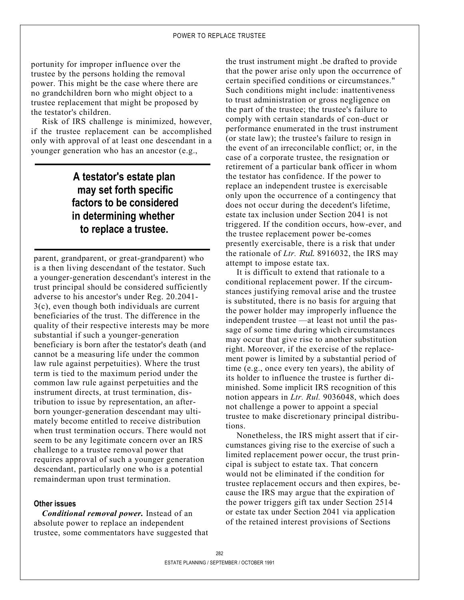portunity for improper influence over the trustee by the persons holding the removal power. This might be the case where there are no grandchildren born who might object to a trustee replacement that might be proposed by the testator's children.

Risk of IRS challenge is minimized, however, if the trustee replacement can be accomplished only with approval of at least one descendant in a younger generation who has an ancestor (e.g.,

# **A testator's estate plan may set forth specific factors to be considered in determining whether to replace a trustee.**

parent, grandparent, or great-grandparent) who is a then living descendant of the testator. Such a younger-generation descendant's interest in the trust principal should be considered sufficiently adverse to his ancestor's under Reg. 20.2041- 3(c), even though both individuals are current beneficiaries of the trust. The difference in the quality of their respective interests may be more substantial if such a younger-generation beneficiary is born after the testator's death (and cannot be a measuring life under the common law rule against perpetuities). Where the trust term is tied to the maximum period under the common law rule against perpetuities and the instrument directs, at trust termination, distribution to issue by representation, an afterborn younger-generation descendant may ultimately become entitled to receive distribution when trust termination occurs. There would not seem to be any legitimate concern over an IRS challenge to a trustee removal power that requires approval of such a younger generation descendant, particularly one who is a potential remainderman upon trust termination.

### **Other issues**

*Conditional removal power.* Instead of an absolute power to replace an independent trustee, some commentators have suggested that the trust instrument might .be drafted to provide that the power arise only upon the occurrence of certain specified conditions or circumstances." Such conditions might include: inattentiveness to trust administration or gross negligence on the part of the trustee; the trustee's failure to comply with certain standards of con-duct or performance enumerated in the trust instrument (or state law); the trustee's failure to resign in the event of an irreconcilable conflict; or, in the case of a corporate trustee, the resignation or retirement of a particular bank officer in whom the testator has confidence. If the power to replace an independent trustee is exercisable only upon the occurrence of a contingency that does not occur during the decedent's lifetime, estate tax inclusion under Section 2041 is not triggered. If the condition occurs, how-ever, and the trustee replacement power be-comes presently exercisable, there is a risk that under the rationale of *Ltr. Rul.* 8916032, the IRS may attempt to impose estate tax.

It is difficult to extend that rationale to a conditional replacement power. If the circumstances justifying removal arise and the trustee is substituted, there is no basis for arguing that the power holder may improperly influence the independent trustee —at least not until the passage of some time during which circumstances may occur that give rise to another substitution right. Moreover, if the exercise of the replacement power is limited by a substantial period of time (e.g., once every ten years), the ability of its holder to influence the trustee is further diminished. Some implicit IRS recognition of this notion appears in *Ltr. Rul.* 9036048, which does not challenge a power to appoint a special trustee to make discretionary principal distributions.

Nonetheless, the IRS might assert that if circumstances giving rise to the exercise of such a limited replacement power occur, the trust principal is subject to estate tax. That concern would not be eliminated if the condition for trustee replacement occurs and then expires, because the IRS may argue that the expiration of the power triggers gift tax under Section 2514 or estate tax under Section 2041 via application of the retained interest provisions of Sections